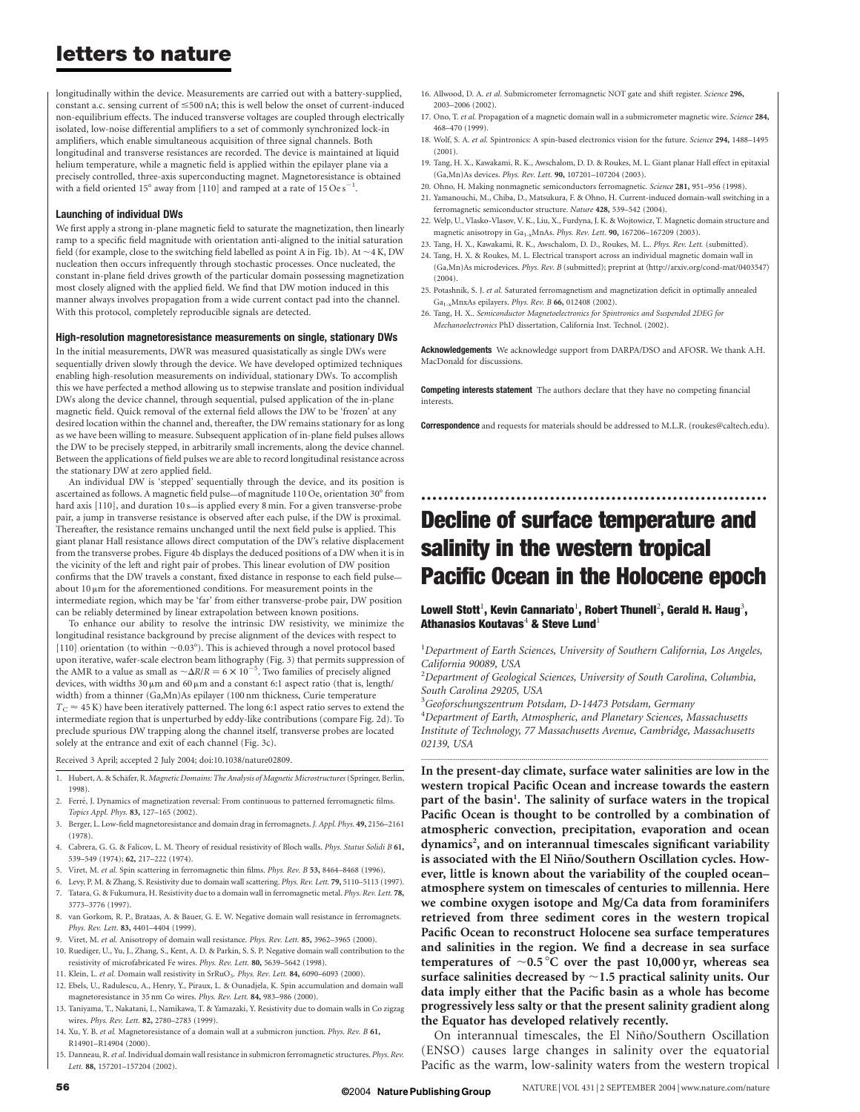### letters to nature

longitudinally within the device. Measurements are carried out with a battery-supplied, constant a.c. sensing current of  $\leq 500$  nA; this is well below the onset of current-induced non-equilibrium effects. The induced transverse voltages are coupled through electrically isolated, low-noise differential amplifiers to a set of commonly synchronized lock-in amplifiers, which enable simultaneous acquisition of three signal channels. Both longitudinal and transverse resistances are recorded. The device is maintained at liquid helium temperature, while a magnetic field is applied within the epilayer plane via a precisely controlled, three-axis superconducting magnet. Magnetoresistance is obtained with a field oriented 15° away from [110] and ramped at a rate of 15 Oe  $s^{-1}$ .

#### Launching of individual DWs

We first apply a strong in-plane magnetic field to saturate the magnetization, then linearly ramp to a specific field magnitude with orientation anti-aligned to the initial saturation field (for example, close to the switching field labelled as point A in Fig. 1b). At  $\sim$  4 K, DW nucleation then occurs infrequently through stochastic processes. Once nucleated, the constant in-plane field drives growth of the particular domain possessing magnetization most closely aligned with the applied field. We find that DW motion induced in this manner always involves propagation from a wide current contact pad into the channel. With this protocol, completely reproducible signals are detected.

#### High-resolution magnetoresistance measurements on single, stationary DWs

In the initial measurements, DWR was measured quasistatically as single DWs were sequentially driven slowly through the device. We have developed optimized techniques enabling high-resolution measurements on individual, stationary DWs. To accomplish this we have perfected a method allowing us to stepwise translate and position individual DWs along the device channel, through sequential, pulsed application of the in-plane magnetic field. Quick removal of the external field allows the DW to be 'frozen' at any desired location within the channel and, thereafter, the DW remains stationary for as long as we have been willing to measure. Subsequent application of in-plane field pulses allows the DW to be precisely stepped, in arbitrarily small increments, along the device channel. Between the applications of field pulses we are able to record longitudinal resistance across the stationary DW at zero applied field.

An individual DW is 'stepped' sequentially through the device, and its position is ascertained as follows. A magnetic field pulse—of magnitude 110 Oe, orientation 30° from hard axis [110], and duration 10 s—is applied every 8 min. For a given transverse-probe pair, a jump in transverse resistance is observed after each pulse, if the DW is proximal. Thereafter, the resistance remains unchanged until the next field pulse is applied. This giant planar Hall resistance allows direct computation of the DW's relative displacement from the transverse probes. Figure 4b displays the deduced positions of a DW when it is in the vicinity of the left and right pair of probes. This linear evolution of DW position confirms that the DW travels a constant, fixed distance in response to each field pulse about  $10 \mu m$  for the aforementioned conditions. For measurement points in the intermediate region, which may be 'far' from either transverse-probe pair, DW position can be reliably determined by linear extrapolation between known positions.

To enhance our ability to resolve the intrinsic DW resistivity, we minimize the longitudinal resistance background by precise alignment of the devices with respect to [110] orientation (to within  $\sim$  0.03°). This is achieved through a novel protocol based upon iterative, wafer-scale electron beam lithography (Fig. 3) that permits suppression of the AMR to a value as small as  $\sim \Delta R/R = 6 \times 10^{-5}$ . Two families of precisely aligned devices, with widths  $30 \mu m$  and  $60 \mu m$  and a constant 6:1 aspect ratio (that is, length/ width) from a thinner (Ga,Mn)As epilayer (100 nm thickness, Curie temperature  $T_{\rm C}$   $\approx$  45 K) have been iteratively patterned. The long 6:1 aspect ratio serves to extend the intermediate region that is unperturbed by eddy-like contributions (compare Fig. 2d). To preclude spurious DW trapping along the channel itself, transverse probes are located solely at the entrance and exit of each channel (Fig. 3c).

Received 3 April; accepted 2 July 2004; doi:10.1038/nature02809.

- 1. Hubert, A. & Schäfer, R. Magnetic Domains: The Analysis of Magnetic Microstructures (Springer, Berlin, 1998).
- 2. Ferré, J. Dynamics of magnetization reversal: From continuous to patterned ferromagnetic films. Topics Appl. Phys. 83, 127–165 (2002).
- 3. Berger, L. Low-field magnetoresistance and domain drag in ferromagnets. J. Appl. Phys. 49, 2156–2161 (1978).
- 4. Cabrera, G. G. & Falicov, L. M. Theory of residual resistivity of Bloch walls. Phys. Status Solidi B 61, 539–549 (1974); 62, 217–222 (1974).
- 5. Viret, M. et al. Spin scattering in ferromagnetic thin films. Phys. Rev. B 53, 8464–8468 (1996).
- 6. Levy, P. M. & Zhang, S. Resistivity due to domain wall scattering. Phys. Rev. Lett. 79, 5110–5113 (1997).
- 7. Tatara, G. & Fukumura, H. Resistivity due to a domain wall in ferromagnetic metal. Phys. Rev. Lett. 78, 3773–3776 (1997).
- 8. van Gorkom, R. P., Brataas, A. & Bauer, G. E. W. Negative domain wall resistance in ferromagnets. Phys. Rev. Lett. 83, 4401–4404 (1999).
- 9. Viret, M. et al. Anisotropy of domain wall resistance. Phys. Rev. Lett. 85, 3962–3965 (2000).
- 10. Ruediger, U., Yu, J., Zhang, S., Kent, A. D. & Parkin, S. S. P. Negative domain wall contribution to the resistivity of microfabricated Fe wires. Phys. Rev. Lett. 80, 5639–5642 (1998).
- 11. Klein, L. et al. Domain wall resistivity in SrRuO<sub>3</sub>. Phys. Rev. Lett. 84, 6090-6093 (2000)
- 12. Ebels, U., Radulescu, A., Henry, Y., Piraux, L. & Ounadjela, K. Spin accumulation and domain wall magnetoresistance in 35 nm Co wires. Phys. Rev. Lett. 84, 983–986 (2000).
- 13. Taniyama, T., Nakatani, I., Namikawa, T. & Yamazaki, Y. Resistivity due to domain walls in Co zigzag wires. Phys. Rev. Lett. 82, 2780–2783 (1999).
- 14. Xu, Y. B. et al. Magnetoresistance of a domain wall at a submicron junction. Phys. Rev. B 61, R14901–R14904 (2000).
- 15. Danneau, R. et al. Individual domain wall resistance in submicron ferromagnetic structures. Phys. Rev. Lett. 88, 157201–157204 (2002).
- 16. Allwood, D. A. et al. Submicrometer ferromagnetic NOT gate and shift register. Science 296, 2003–2006 (2002).
- 17. Ono, T. et al. Propagation of a magnetic domain wall in a submicrometer magnetic wire. Science 284, 468–470 (1999).
- 18. Wolf, S. A. et al. Spintronics: A spin-based electronics vision for the future. Science 294, 1488-1495 (2001).
- 19. Tang, H. X., Kawakami, R. K., Awschalom, D. D. & Roukes, M. L. Giant planar Hall effect in epitaxial (Ga,Mn)As devices. Phys. Rev. Lett. 90, 107201–107204 (2003).
- 20. Ohno, H. Making nonmagnetic semiconductors ferromagnetic. Science 281, 951–956 (1998).
- 21. Yamanouchi, M., Chiba, D., Matsukura, F. & Ohno, H. Current-induced domain-wall switching in a ferromagnetic semiconductor structure. Nature 428, 539–542 (2004).
- 22. Welp, U., Vlasko-Vlasov, V. K., Liu, X., Furdyna, J. K. & Wojtowicz, T. Magnetic domain structure and magnetic anisotropy in  $Ga_{1-x}MnAs$ . Phys. Rev. Lett. 90, 167206-167209 (2003).
- 23. Tang, H. X., Kawakami, R. K., Awschalom, D. D., Roukes, M. L.. Phys. Rev. Lett. (submitted).
- 24. Tang, H. X. & Roukes, M. L. Electrical transport across an individual magnetic domain wall in (Ga,Mn)As microdevices. Phys. Rev. B (submitted); preprint at (http://arxiv.org/cond-mat/0403547) (2004).
- 25. Potashnik, S. J. et al. Saturated ferromagnetism and magnetization deficit in optimally annealed Ga1-xMnxAs epilayers. Phys. Rev. B 66, 012408 (2002).
- 26. Tang, H. X.. Semiconductor Magnetoelectronics for Spintronics and Suspended 2DEG for Mechanoelectronics PhD dissertation, California Inst. Technol. (2002).

Acknowledgements We acknowledge support from DARPA/DSO and AFOSR. We thank A.H. MacDonald for discussions.

**Competing interests statement** The authors declare that they have no competing financial interests.

Correspondence and requests for materials should be addressed to M.L.R. (roukes@caltech.edu).

## Decline of surface temperature and salinity in the western tropical Pacific Ocean in the Holocene epoch

..............................................................

Lowell Stott<sup>1</sup>, Kevin Cannariato<sup>1</sup>, Robert Thunell<sup>2</sup>, Gerald H. Haug<sup>3</sup>, Athanasios Koutavas $4$  & Steve Lund $1$ 

<sup>1</sup>Department of Earth Sciences, University of Southern California, Los Angeles, California 90089, USA

 $^{2}$ Department of Geological Sciences, University of South Carolina, Columbia, South Carolina 29205, USA

<sup>3</sup>Geoforschungszentrum Potsdam, D-14473 Potsdam, Germany <sup>4</sup>Department of Earth, Atmospheric, and Planetary Sciences, Massachusetts Institute of Technology, 77 Massachusetts Avenue, Cambridge, Massachusetts 02139, USA

.............................................................................................................................................................................

In the present-day climate, surface water salinities are low in the western tropical Pacific Ocean and increase towards the eastern part of the basin<sup>1</sup>. The salinity of surface waters in the tropical Pacific Ocean is thought to be controlled by a combination of atmospheric convection, precipitation, evaporation and ocean dynamics<sup>2</sup>, and on interannual timescales significant variability is associated with the El Niño/Southern Oscillation cycles. However, little is known about the variability of the coupled ocean– atmosphere system on timescales of centuries to millennia. Here we combine oxygen isotope and Mg/Ca data from foraminifers retrieved from three sediment cores in the western tropical Pacific Ocean to reconstruct Holocene sea surface temperatures and salinities in the region. We find a decrease in sea surface temperatures of  $\sim$ 0.5 °C over the past 10,000 yr, whereas sea surface salinities decreased by  $\sim$  1.5 practical salinity units. Our data imply either that the Pacific basin as a whole has become progressively less salty or that the present salinity gradient along the Equator has developed relatively recently.

On interannual timescales, the El Niño/Southern Oscillation (ENSO) causes large changes in salinity over the equatorial Pacific as the warm, low-salinity waters from the western tropical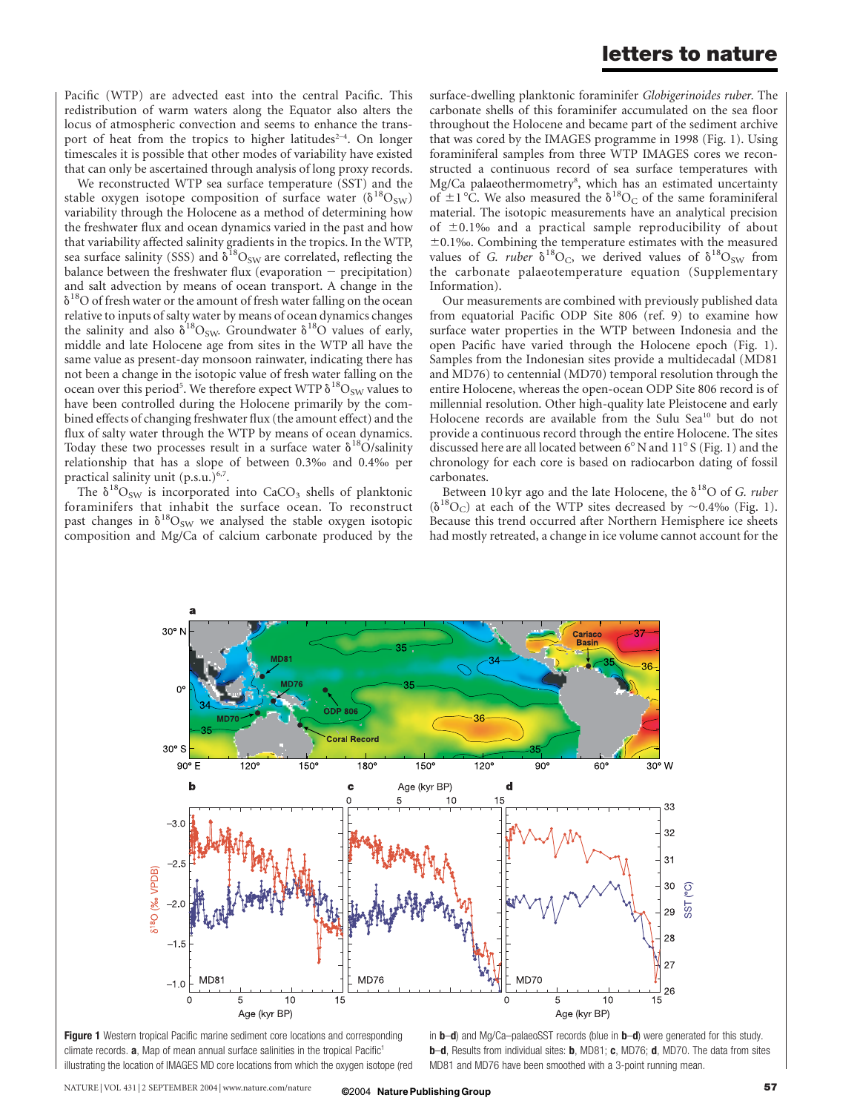### letters to nature

Pacific (WTP) are advected east into the central Pacific. This redistribution of warm waters along the Equator also alters the locus of atmospheric convection and seems to enhance the transport of heat from the tropics to higher latitudes<sup> $2-4$ </sup>. On longer timescales it is possible that other modes of variability have existed that can only be ascertained through analysis of long proxy records.

We reconstructed WTP sea surface temperature (SST) and the stable oxygen isotope composition of surface water  $(\delta^{18}O_{SW})$ variability through the Holocene as a method of determining how the freshwater flux and ocean dynamics varied in the past and how that variability affected salinity gradients in the tropics. In the WTP, sea surface salinity (SSS) and  $\delta^{18}O_{\rm SW}$  are correlated, reflecting the balance between the freshwater flux (evaporation  $-$  precipitation) and salt advection by means of ocean transport. A change in the  $\delta^{18}$ O of fresh water or the amount of fresh water falling on the ocean relative to inputs of salty water by means of ocean dynamics changes the salinity and also  $\delta^{18}O_{SW}$ . Groundwater  $\delta^{18}O$  values of early, middle and late Holocene age from sites in the WTP all have the same value as present-day monsoon rainwater, indicating there has not been a change in the isotopic value of fresh water falling on the ocean over this period<sup>5</sup>. We therefore expect WTP  $\delta^{18}O_{\rm SW}$  values to have been controlled during the Holocene primarily by the combined effects of changing freshwater flux (the amount effect) and the flux of salty water through the WTP by means of ocean dynamics. Today these two processes result in a surface water  $\delta^{18}O/salinity$ relationship that has a slope of between 0.3‰ and 0.4‰ per practical salinity unit (p.s.u.)<sup>6,7</sup>.

The  $\delta^{18}O_{SW}$  is incorporated into CaCO<sub>3</sub> shells of planktonic foraminifers that inhabit the surface ocean. To reconstruct past changes in  $\delta^{18}O_{SW}$  we analysed the stable oxygen isotopic composition and Mg/Ca of calcium carbonate produced by the

surface-dwelling planktonic foraminifer Globigerinoides ruber. The carbonate shells of this foraminifer accumulated on the sea floor throughout the Holocene and became part of the sediment archive that was cored by the IMAGES programme in 1998 (Fig. 1). Using foraminiferal samples from three WTP IMAGES cores we reconstructed a continuous record of sea surface temperatures with Mg/Ca palaeothermometry<sup>8</sup>, which has an estimated uncertainty of  $\pm 1$  °C. We also measured the  $\delta^{18}O_C$  of the same foraminiferal material. The isotopic measurements have an analytical precision of  $\pm$ 0.1‰ and a practical sample reproducibility of about  $\pm$ 0.1‰. Combining the temperature estimates with the measured values of G. ruber  $\delta^{18}O_{\rm C}$ , we derived values of  $\delta^{18}O_{\rm SW}$  from the carbonate palaeotemperature equation (Supplementary Information).

Our measurements are combined with previously published data from equatorial Pacific ODP Site 806 (ref. 9) to examine how surface water properties in the WTP between Indonesia and the open Pacific have varied through the Holocene epoch (Fig. 1). Samples from the Indonesian sites provide a multidecadal (MD81 and MD76) to centennial (MD70) temporal resolution through the entire Holocene, whereas the open-ocean ODP Site 806 record is of millennial resolution. Other high-quality late Pleistocene and early Holocene records are available from the Sulu Sea<sup>10</sup> but do not provide a continuous record through the entire Holocene. The sites discussed here are all located between  $6^{\circ}$  N and  $11^{\circ}$  S (Fig. 1) and the chronology for each core is based on radiocarbon dating of fossil carbonates.

Between 10 kyr ago and the late Holocene, the  $\delta^{18}O$  of *G. ruber*  $(\delta^{18}O_{\rm C})$  at each of the WTP sites decreased by ~0.4‰ (Fig. 1). Because this trend occurred after Northern Hemisphere ice sheets had mostly retreated, a change in ice volume cannot account for the





in  $b-d$ ) and Mg/Ca–palaeoSST records (blue in  $b-d$ ) were generated for this study. b-d, Results from individual sites: b, MD81; c, MD76; d, MD70. The data from sites MD81 and MD76 have been smoothed with a 3-point running mean.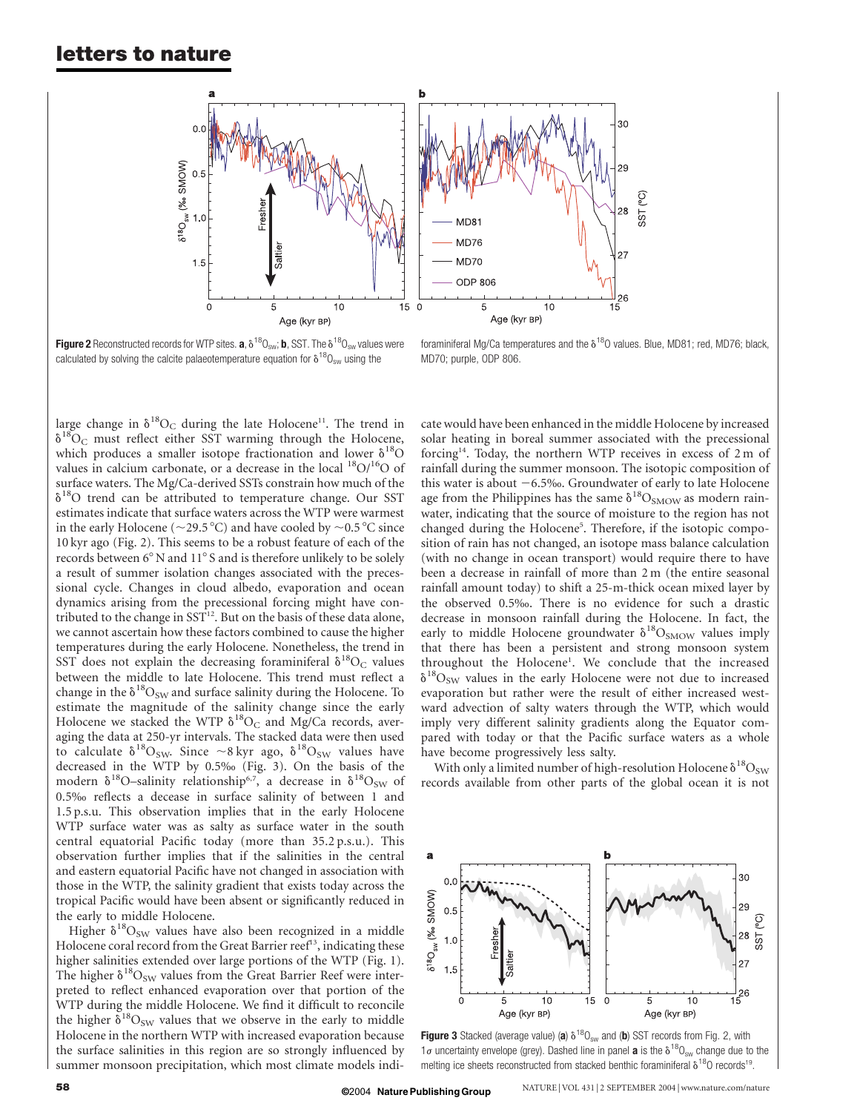

**Figure 2** Reconstructed records for WTP sites. **a**,  $\delta^{18}O_{sw}$ ; **b**, SST. The  $\delta^{18}O_{sw}$  values were calculated by solving the calcite palaeotemperature equation for  $\delta^{18}O_{\text{sw}}$  using the

foraminiferal Mg/Ca temperatures and the  $\delta^{18}$ O values. Blue, MD81; red, MD76; black, MD70; purple, ODP 806.

large change in  $\delta^{18}O_{\text{C}}$  during the late Holocene<sup>11</sup>. The trend in  $\delta^{18}O_{\rm C}$  must reflect either SST warming through the Holocene, which produces a smaller isotope fractionation and lower  $\delta^{18}O$ values in calcium carbonate, or a decrease in the local  $^{18}O/^{16}O$  of surface waters. The Mg/Ca-derived SSTs constrain how much of the  $\delta^{18}$ O trend can be attributed to temperature change. Our SST estimates indicate that surface waters across the WTP were warmest in the early Holocene ( $\sim$ 29.5 °C) and have cooled by  $\sim$ 0.5 °C since 10 kyr ago (Fig. 2). This seems to be a robust feature of each of the records between  $6^{\circ}$  N and  $11^{\circ}$  S and is therefore unlikely to be solely a result of summer isolation changes associated with the precessional cycle. Changes in cloud albedo, evaporation and ocean dynamics arising from the precessional forcing might have contributed to the change in  $SST<sup>12</sup>$ . But on the basis of these data alone, we cannot ascertain how these factors combined to cause the higher temperatures during the early Holocene. Nonetheless, the trend in SST does not explain the decreasing foraminiferal  $\delta^{18}O_C$  values between the middle to late Holocene. This trend must reflect a change in the  $\delta^{18}O_{SW}$  and surface salinity during the Holocene. To estimate the magnitude of the salinity change since the early Holocene we stacked the WTP  $\delta^{18}O_C$  and Mg/Ca records, averaging the data at 250-yr intervals. The stacked data were then used to calculate  $\delta^{18}O_{SW}$ . Since ~8 kyr ago,  $\delta^{18}O_{SW}$  values have decreased in the WTP by 0.5‰ (Fig. 3). On the basis of the modern  $\delta^{18}$ O–salinity relationship<sup>6,7</sup>, a decrease in  $\delta^{18}$ O<sub>SW</sub> of 0.5‰ reflects a decease in surface salinity of between 1 and 1.5 p.s.u. This observation implies that in the early Holocene WTP surface water was as salty as surface water in the south central equatorial Pacific today (more than 35.2 p.s.u.). This observation further implies that if the salinities in the central and eastern equatorial Pacific have not changed in association with those in the WTP, the salinity gradient that exists today across the tropical Pacific would have been absent or significantly reduced in the early to middle Holocene.

Higher  $\delta^{18}O_{SW}$  values have also been recognized in a middle Holocene coral record from the Great Barrier reef<sup>13</sup>, indicating these higher salinities extended over large portions of the WTP (Fig. 1). The higher  $\delta^{18}O_{SW}$  values from the Great Barrier Reef were interpreted to reflect enhanced evaporation over that portion of the WTP during the middle Holocene. We find it difficult to reconcile the higher  $\delta^{18}O_{SW}$  values that we observe in the early to middle Holocene in the northern WTP with increased evaporation because the surface salinities in this region are so strongly influenced by summer monsoon precipitation, which most climate models indi-

cate would have been enhanced in the middle Holocene by increased solar heating in boreal summer associated with the precessional forcing14. Today, the northern WTP receives in excess of 2 m of rainfall during the summer monsoon. The isotopic composition of this water is about  $-6.5\%$ . Groundwater of early to late Holocene age from the Philippines has the same  $\delta^{18}O_{SMOW}$  as modern rainwater, indicating that the source of moisture to the region has not changed during the Holocene<sup>5</sup>. Therefore, if the isotopic composition of rain has not changed, an isotope mass balance calculation (with no change in ocean transport) would require there to have been a decrease in rainfall of more than 2 m (the entire seasonal rainfall amount today) to shift a 25-m-thick ocean mixed layer by the observed 0.5‰. There is no evidence for such a drastic decrease in monsoon rainfall during the Holocene. In fact, the early to middle Holocene groundwater  $\delta^{18}O_{sMOW}$  values imply that there has been a persistent and strong monsoon system throughout the Holocene<sup>1</sup>. We conclude that the increased  $\delta^{18}O_{SW}$  values in the early Holocene were not due to increased evaporation but rather were the result of either increased westward advection of salty waters through the WTP, which would imply very different salinity gradients along the Equator compared with today or that the Pacific surface waters as a whole have become progressively less salty.

With only a limited number of high-resolution Holocene  $\delta^{18}O_{SW}$ records available from other parts of the global ocean it is not



Figure 3 Stacked (average value) (a)  $\delta^{18}O_{\text{sw}}$  and (b) SST records from Fig. 2, with  $1\sigma$  uncertainty envelope (grey). Dashed line in panel **a** is the  $\delta^{18}O_{\text{sw}}$  change due to the melting ice sheets reconstructed from stacked benthic foraminiferal  $\delta^{18}$ O records<sup>19</sup>.